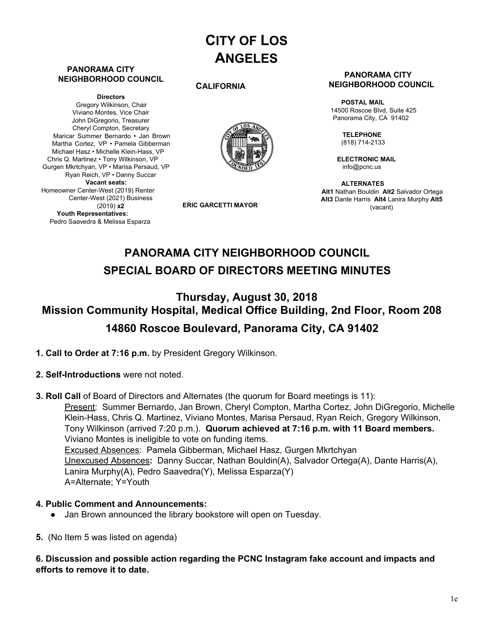# **CITY OF LOS ANGELES**

#### **PANORAMA CITY NEIGHBORHOOD COUNCIL**

**Directors** Gregory Wilkinson, Chair Viviano Montes, Vice Chair John DiGregorio, Treasurer Cheryl Compton, Secretary Maricar Summer Bernardo • Jan Brown Martha Cortez, VP • Pamela Gibberman Michael Hasz • Michelle Klein-Hass, VP Chris Q. Martinez • Tony Wilkinson, VP Gurgen Mkrtchyan, VP • Marisa Persaud, VP Ryan Reich, VP • Danny Succar **Vacant seats:** Homeowner Center-West (2019) Renter Center-West (2021) Business (2019) **x2 Youth Representatives:** Pedro Saavedra & Melissa Esparza

#### **CALIFORNIA**



**ERIC GARCETTI MAYOR**

#### **PANORAMA CITY NEIGHBORHOOD COUNCIL**

**POSTAL MAIL** 14500 Roscoe Blvd, Suite 425 Panorama City, CA 91402

> **TELEPHONE** (818) 714-2133

**ELECTRONIC MAIL** [info@pcnc.us](mailto:info@pcnc.us)

**ALTERNATES Alt1** Nathan Bouldin **Alt2** Salvador Ortega **Alt3** Dante Harris **Alt4** Lanira Murphy **Alt5** (vacant)

## **PANORAMA CITY NEIGHBORHOOD COUNCIL SPECIAL BOARD OF DIRECTORS MEETING MINUTES**

## **Thursday, August 30, 2018 Mission Community Hospital, Medical Office Building, 2nd Floor, Room 208 14860 Roscoe Boulevard, Panorama City, CA 91402**

- **1. Call to Order at 7:16 p.m.** by President Gregory Wilkinson.
- **2. Self-Introductions** were not noted.
- **3. Roll Call** of Board of Directors and Alternates (the quorum for Board meetings is 11): Present: Summer Bernardo, Jan Brown, Cheryl Compton, Martha Cortez, John DiGregorio, Michelle Klein-Hass, Chris Q. Martinez, Viviano Montes, Marisa Persaud, Ryan Reich, Gregory Wilkinson, Tony Wilkinson (arrived 7:20 p.m.). **Quorum achieved at 7:16 p.m. with 11 Board members.** Viviano Montes is ineligible to vote on funding items. Excused Absences: Pamela Gibberman, Michael Hasz, Gurgen Mkrtchyan Unexcused Absences**:** Danny Succar, Nathan Bouldin(A), Salvador Ortega(A), Dante Harris(A), Lanira Murphy(A), Pedro Saavedra(Y), Melissa Esparza(Y) A=Alternate; Y=Youth

#### **4. Public Comment and Announcements:**

- Jan Brown announced the library bookstore will open on Tuesday.
- **5.** (No Item 5 was listed on agenda)

#### **6. Discussion and possible action regarding the PCNC Instagram fake account and impacts and efforts to remove it to date.**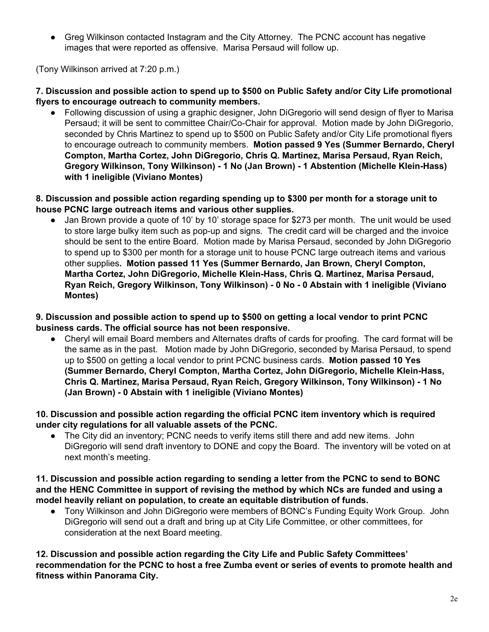• Greg Wilkinson contacted Instagram and the City Attorney. The PCNC account has negative images that were reported as offensive. Marisa Persaud will follow up.

(Tony Wilkinson arrived at 7:20 p.m.)

## **7. Discussion and possible action to spend up to \$500 on Public Safety and/or City Life promotional flyers to encourage outreach to community members.**

● Following discussion of using a graphic designer, John DiGregorio will send design of flyer to Marisa Persaud; it will be sent to committee Chair/Co-Chair for approval. Motion made by John DiGregorio, seconded by Chris Martinez to spend up to \$500 on Public Safety and/or City Life promotional flyers to encourage outreach to community members. **Motion passed 9 Yes (Summer Bernardo, Cheryl Compton, Martha Cortez, John DiGregorio, Chris Q. Martinez, Marisa Persaud, Ryan Reich, Gregory Wilkinson, Tony Wilkinson) - 1 No (Jan Brown) - 1 Abstention (Michelle Klein-Hass) with 1 ineligible (Viviano Montes)**

### **8. Discussion and possible action regarding spending up to \$300 per month for a storage unit to house PCNC large outreach items and various other supplies.**

Jan Brown provide a quote of 10' by 10' storage space for \$273 per month. The unit would be used to store large bulky item such as pop-up and signs. The credit card will be charged and the invoice should be sent to the entire Board. Motion made by Marisa Persaud, seconded by John DiGregorio to spend up to \$300 per month for a storage unit to house PCNC large outreach items and various other supplies**. Motion passed 11 Yes (Summer Bernardo, Jan Brown, Cheryl Compton, Martha Cortez, John DiGregorio, Michelle Klein-Hass, Chris Q. Martinez, Marisa Persaud, Ryan Reich, Gregory Wilkinson, Tony Wilkinson) - 0 No - 0 Abstain with 1 ineligible (Viviano Montes)**

#### **9. Discussion and possible action to spend up to \$500 on getting a local vendor to print PCNC business cards. The official source has not been responsive.**

● Cheryl will email Board members and Alternates drafts of cards for proofing. The card format will be the same as in the past. Motion made by John DiGregorio, seconded by Marisa Persaud, to spend up to \$500 on getting a local vendor to print PCNC business cards. **Motion passed 10 Yes (Summer Bernardo, Cheryl Compton, Martha Cortez, John DiGregorio, Michelle Klein-Hass, Chris Q. Martinez, Marisa Persaud, Ryan Reich, Gregory Wilkinson, Tony Wilkinson) - 1 No (Jan Brown) - 0 Abstain with 1 ineligible (Viviano Montes)**

## **10. Discussion and possible action regarding the official PCNC item inventory which is required under city regulations for all valuable assets of the PCNC.**

● The City did an inventory; PCNC needs to verify items still there and add new items. John DiGregorio will send draft inventory to DONE and copy the Board. The inventory will be voted on at next month's meeting.

### **11. Discussion and possible action regarding to sending a letter from the PCNC to send to BONC and the HENC Committee in support of revising the method by which NCs are funded and using a model heavily reliant on population, to create an equitable distribution of funds.**

● Tony Wilkinson and John DiGregorio were members of BONC's Funding Equity Work Group. John DiGregorio will send out a draft and bring up at City Life Committee, or other committees, for consideration at the next Board meeting.

**12. Discussion and possible action regarding the City Life and Public Safety Committees' recommendation for the PCNC to host a free Zumba event or series of events to promote health and fitness within Panorama City.**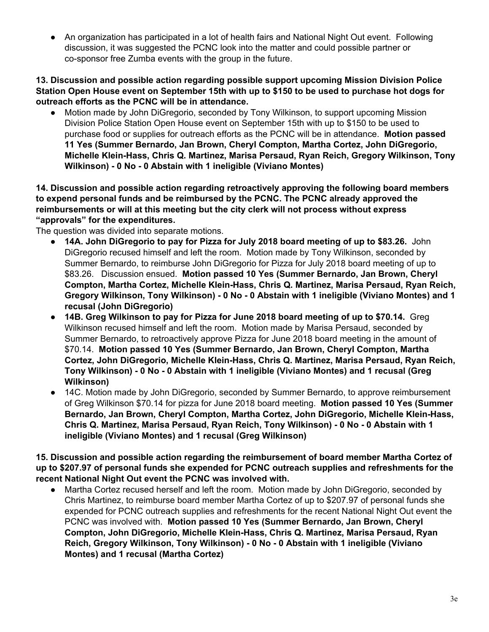● An organization has participated in a lot of health fairs and National Night Out event. Following discussion, it was suggested the PCNC look into the matter and could possible partner or co-sponsor free Zumba events with the group in the future.

### **13. Discussion and possible action regarding possible support upcoming Mission Division Police** Station Open House event on September 15th with up to \$150 to be used to purchase hot dogs for **outreach efforts as the PCNC will be in attendance.**

• Motion made by John DiGregorio, seconded by Tony Wilkinson, to support upcoming Mission Division Police Station Open House event on September 15th with up to \$150 to be used to purchase food or supplies for outreach efforts as the PCNC will be in attendance. **Motion passed 11 Yes (Summer Bernardo, Jan Brown, Cheryl Compton, Martha Cortez, John DiGregorio, Michelle Klein-Hass, Chris Q. Martinez, Marisa Persaud, Ryan Reich, Gregory Wilkinson, Tony Wilkinson) - 0 No - 0 Abstain with 1 ineligible (Viviano Montes)**

### **14. Discussion and possible action regarding retroactively approving the following board members to expend personal funds and be reimbursed by the PCNC. The PCNC already approved the reimbursements or will at this meeting but the city clerk will not process without express "approvals" for the expenditures.**

The question was divided into separate motions.

- **14A. John DiGregorio to pay for Pizza for July 2018 board meeting of up to \$83.26.** John DiGregorio recused himself and left the room. Motion made by Tony Wilkinson, seconded by Summer Bernardo, to reimburse John DiGregorio for Pizza for July 2018 board meeting of up to \$83.26. Discussion ensued. **Motion passed 10 Yes (Summer Bernardo, Jan Brown, Cheryl Compton, Martha Cortez, Michelle Klein-Hass, Chris Q. Martinez, Marisa Persaud, Ryan Reich, Gregory Wilkinson, Tony Wilkinson) - 0 No - 0 Abstain with 1 ineligible (Viviano Montes) and 1 recusal (John DiGregorio)**
- **14B. Greg Wilkinson to pay for Pizza for June 2018 board meeting of up to \$70.14.** Greg Wilkinson recused himself and left the room. Motion made by Marisa Persaud, seconded by Summer Bernardo, to retroactively approve Pizza for June 2018 board meeting in the amount of \$70.14. **Motion passed 10 Yes (Summer Bernardo, Jan Brown, Cheryl Compton, Martha Cortez, John DiGregorio, Michelle Klein-Hass, Chris Q. Martinez, Marisa Persaud, Ryan Reich, Tony Wilkinson) - 0 No - 0 Abstain with 1 ineligible (Viviano Montes) and 1 recusal (Greg Wilkinson)**
- **●** 14C. Motion made by John DiGregorio, seconded by Summer Bernardo, to approve reimbursement of Greg Wilkinson \$70.14 for pizza for June 2018 board meeting. **Motion passed 10 Yes (Summer Bernardo, Jan Brown, Cheryl Compton, Martha Cortez, John DiGregorio, Michelle Klein-Hass, Chris Q. Martinez, Marisa Persaud, Ryan Reich, Tony Wilkinson) - 0 No - 0 Abstain with 1 ineligible (Viviano Montes) and 1 recusal (Greg Wilkinson)**

**15. Discussion and possible action regarding the reimbursement of board member Martha Cortez of up to \$207.97 of personal funds she expended for PCNC outreach supplies and refreshments for the recent National Night Out event the PCNC was involved with.**

**●** Martha Cortez recused herself and left the room. Motion made by John DiGregorio, seconded by Chris Martinez, to reimburse board member Martha Cortez of up to \$207.97 of personal funds she expended for PCNC outreach supplies and refreshments for the recent National Night Out event the PCNC was involved with. **Motion passed 10 Yes (Summer Bernardo, Jan Brown, Cheryl Compton, John DiGregorio, Michelle Klein-Hass, Chris Q. Martinez, Marisa Persaud, Ryan Reich, Gregory Wilkinson, Tony Wilkinson) - 0 No - 0 Abstain with 1 ineligible (Viviano Montes) and 1 recusal (Martha Cortez)**